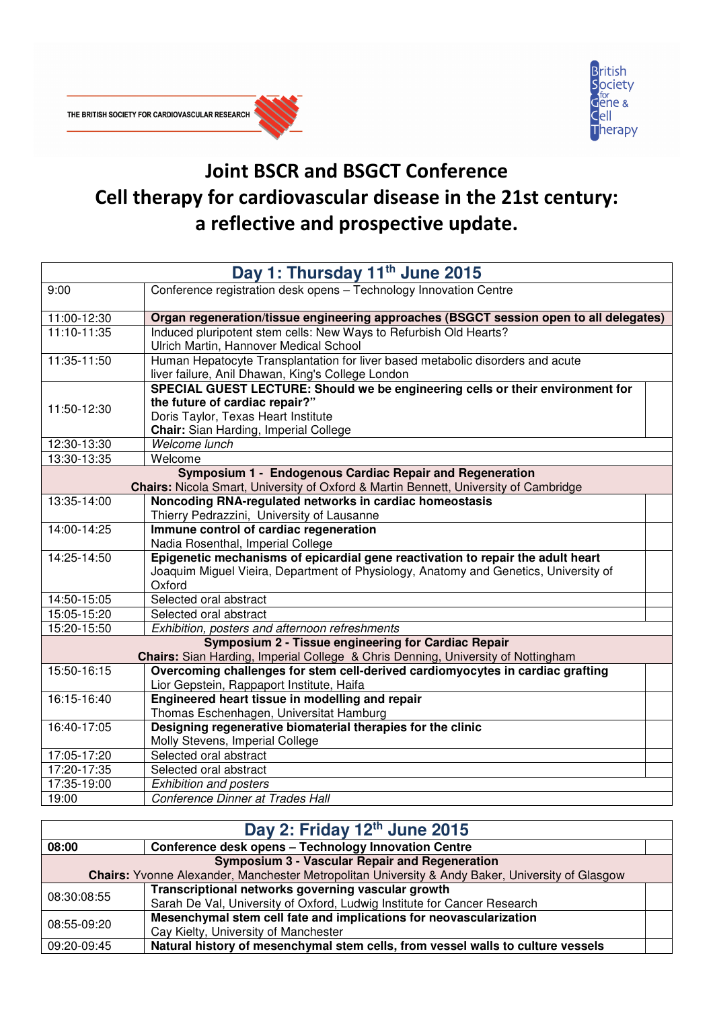



## Joint BSCR and BSGCT Conference Cell therapy for cardiovascular disease in the 21st century: a reflective and prospective update.

| Day 1: Thursday 11th June 2015                           |                                                                                             |  |  |  |
|----------------------------------------------------------|---------------------------------------------------------------------------------------------|--|--|--|
| 9:00                                                     | Conference registration desk opens - Technology Innovation Centre                           |  |  |  |
| 11:00-12:30                                              | Organ regeneration/tissue engineering approaches (BSGCT session open to all delegates)      |  |  |  |
| 11:10-11:35                                              | Induced pluripotent stem cells: New Ways to Refurbish Old Hearts?                           |  |  |  |
|                                                          | Ulrich Martin, Hannover Medical School                                                      |  |  |  |
| 11:35-11:50                                              | Human Hepatocyte Transplantation for liver based metabolic disorders and acute              |  |  |  |
|                                                          | liver failure, Anil Dhawan, King's College London                                           |  |  |  |
|                                                          | SPECIAL GUEST LECTURE: Should we be engineering cells or their environment for              |  |  |  |
| 11:50-12:30                                              | the future of cardiac repair?"                                                              |  |  |  |
|                                                          | Doris Taylor, Texas Heart Institute                                                         |  |  |  |
|                                                          | Chair: Sian Harding, Imperial College                                                       |  |  |  |
| 12:30-13:30                                              | Welcome lunch                                                                               |  |  |  |
| 13:30-13:35                                              | Welcome                                                                                     |  |  |  |
| Symposium 1 - Endogenous Cardiac Repair and Regeneration |                                                                                             |  |  |  |
|                                                          | <b>Chairs:</b> Nicola Smart, University of Oxford & Martin Bennett, University of Cambridge |  |  |  |
| 13:35-14:00                                              | Noncoding RNA-regulated networks in cardiac homeostasis                                     |  |  |  |
|                                                          | Thierry Pedrazzini, University of Lausanne                                                  |  |  |  |
| 14:00-14:25                                              | Immune control of cardiac regeneration                                                      |  |  |  |
|                                                          | Nadia Rosenthal, Imperial College                                                           |  |  |  |
| 14:25-14:50                                              | Epigenetic mechanisms of epicardial gene reactivation to repair the adult heart             |  |  |  |
|                                                          | Joaquim Miguel Vieira, Department of Physiology, Anatomy and Genetics, University of        |  |  |  |
|                                                          | Oxford                                                                                      |  |  |  |
| 14:50-15:05                                              | Selected oral abstract                                                                      |  |  |  |
| 15:05-15:20                                              | Selected oral abstract                                                                      |  |  |  |
| 15:20-15:50                                              | Exhibition, posters and afternoon refreshments                                              |  |  |  |
|                                                          | Symposium 2 - Tissue engineering for Cardiac Repair                                         |  |  |  |
|                                                          | Chairs: Sian Harding, Imperial College & Chris Denning, University of Nottingham            |  |  |  |
| 15:50-16:15                                              | Overcoming challenges for stem cell-derived cardiomyocytes in cardiac grafting              |  |  |  |
|                                                          | Lior Gepstein, Rappaport Institute, Haifa                                                   |  |  |  |
| 16:15-16:40                                              | Engineered heart tissue in modelling and repair                                             |  |  |  |
|                                                          | Thomas Eschenhagen, Universitat Hamburg                                                     |  |  |  |
| 16:40-17:05                                              | Designing regenerative biomaterial therapies for the clinic                                 |  |  |  |
|                                                          | Molly Stevens, Imperial College                                                             |  |  |  |
| 17:05-17:20                                              | Selected oral abstract                                                                      |  |  |  |
| 17:20-17:35                                              | Selected oral abstract                                                                      |  |  |  |
| 17:35-19:00                                              | <b>Exhibition and posters</b>                                                               |  |  |  |
| 19:00                                                    | Conference Dinner at Trades Hall                                                            |  |  |  |

| Day 2: Friday 12th June 2015                                                                            |                                                                                 |  |  |
|---------------------------------------------------------------------------------------------------------|---------------------------------------------------------------------------------|--|--|
| 08:00                                                                                                   | Conference desk opens - Technology Innovation Centre                            |  |  |
| <b>Symposium 3 - Vascular Repair and Regeneration</b>                                                   |                                                                                 |  |  |
| <b>Chairs:</b> Yvonne Alexander, Manchester Metropolitan University & Andy Baker, University of Glasgow |                                                                                 |  |  |
| 08:30:08:55                                                                                             | Transcriptional networks governing vascular growth                              |  |  |
|                                                                                                         | Sarah De Val, University of Oxford, Ludwig Institute for Cancer Research        |  |  |
| 08:55-09:20                                                                                             | Mesenchymal stem cell fate and implications for neovascularization              |  |  |
|                                                                                                         | Cay Kielty, University of Manchester                                            |  |  |
| 09:20-09:45                                                                                             | Natural history of mesenchymal stem cells, from vessel walls to culture vessels |  |  |